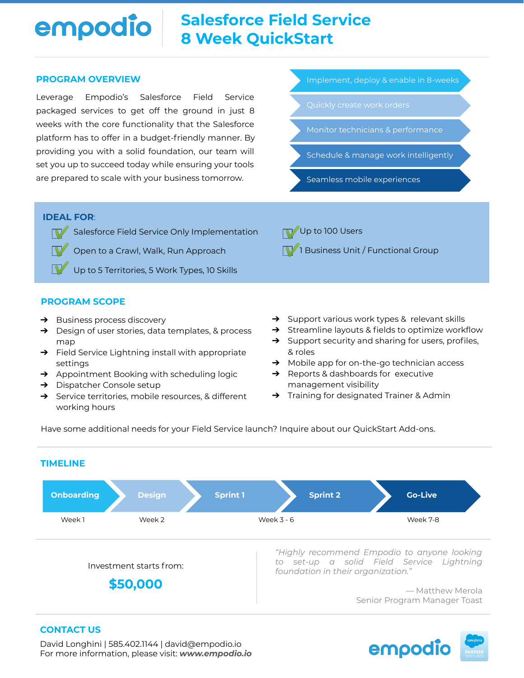# **Salesforce Field Service** empodio **8 Week QuickStart**

### **PROGRAM OVERVIEW**

Leverage Empodio's Salesforce Field Service packaged services to get off the ground in just 8 weeks with the core functionality that the Salesforce platform has to offer in a budget-friendly manner. By providing you with a solid foundation, our team will set you up to succeed today while ensuring your tools are prepared to scale with your business tomorrow.

Implement, deploy & enable in 8-weeks

- 
- Monitor technicians & performance

Schedule & manage work intelligently

Seamless mobile experiences

**7** 1 Business Unit / Functional Group

**V** Up to 100 Users

### **IDEAL FOR**:

▼ Salesforce Field Service Only Implementation

Open to a Crawl, Walk, Run Approach  $\boldsymbol{\mathbb{Y}}$  .

Up to 5 Territories, 5 Work Types, 10 Skills

## **PROGRAM SCOPE**

- ➔ Business process discovery
- ➔ Design of user stories, data templates, & process map
- → Field Service Lightning install with appropriate settings
- ➔ Appointment Booking with scheduling logic
- → Dispatcher Console setup
- ➔ Service territories, mobile resources, & different working hours
- → Support various work types & relevant skills
- ➔ Streamline layouts & fields to optimize workflow
- ➔ Support security and sharing for users, profiles, & roles
- ➔ Mobile app for on-the-go technician access
- ➔ Reports & dashboards for executive management visibility
- ➔ Training for designated Trainer & Admin

Have some additional needs for your Field Service launch? Inquire about our QuickStart Add-ons.



### **CONTACT US**

David Longhini | 585.402.1144 | david@empodio.io For more information, please visit: *www.empodio.io* empodio